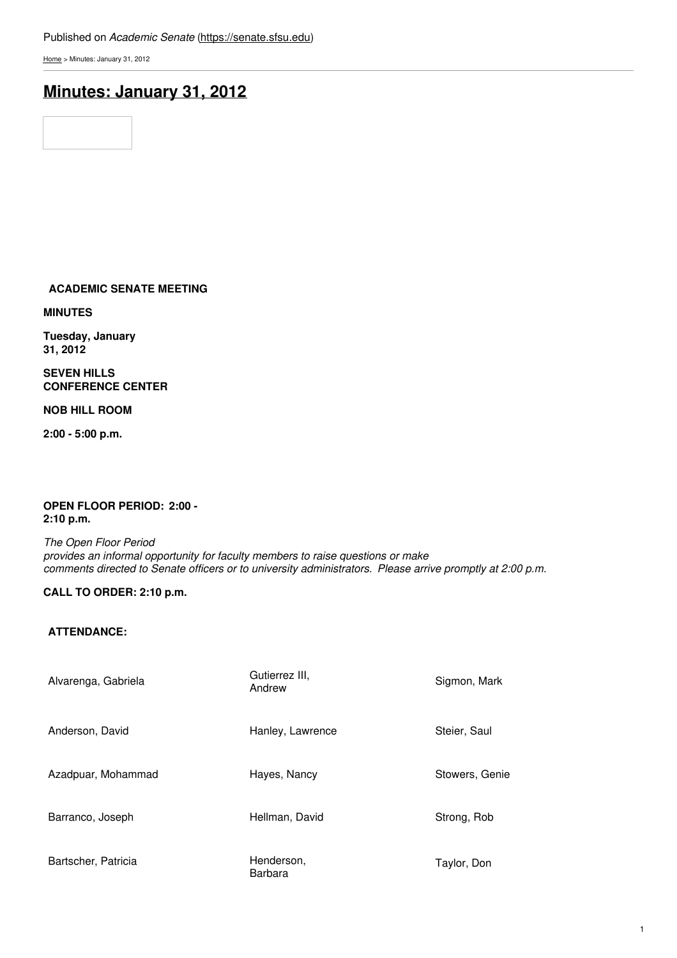### Published on *Academic Senate* [\(https://senate.sfsu.edu](https://senate.sfsu.edu))

[Home](https://senate.sfsu.edu/) > Minutes: January 31, 2012

# **[Minutes:](https://senate.sfsu.edu/content/minute-m01-31-12) January 31, 2012**

## **ACADEMIC SENATE MEETING**

**MINUTES**

**Tuesday, January 31, 2012**

**SEVEN HILLS CONFERENCE CENTER**

**NOB HILL ROOM**

**2:00 - 5:00 p.m.**

#### **OPEN FLOOR PERIOD: 2:00 - 2:10 p.m.**

*The Open Floor Period provides an informal opportunity for faculty members to raise questions or make comments directed to Senate officers or to university administrators. Please arrive promptly at 2:00 p.m.*

## **CALL TO ORDER: 2:10 p.m.**

### **ATTENDANCE:**

| Alvarenga, Gabriela | Gutierrez III,<br>Andrew | Sigmon, Mark   |
|---------------------|--------------------------|----------------|
| Anderson, David     | Hanley, Lawrence         | Steier, Saul   |
| Azadpuar, Mohammad  | Hayes, Nancy             | Stowers, Genie |
| Barranco, Joseph    | Hellman, David           | Strong, Rob    |
| Bartscher, Patricia | Henderson,<br>Barbara    | Taylor, Don    |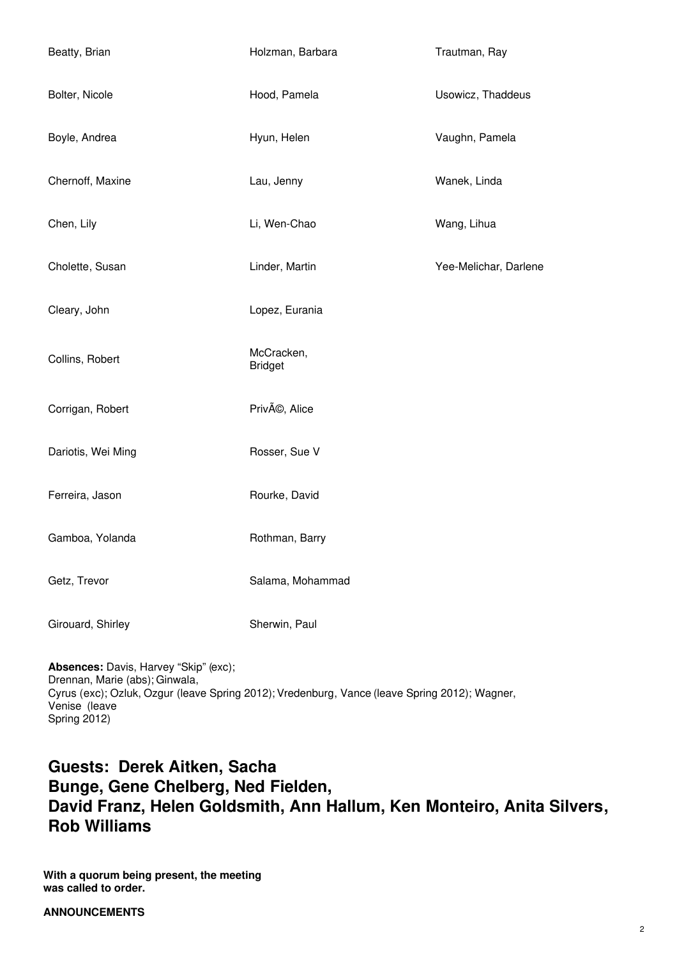| Beatty, Brian      | Holzman, Barbara             | Trautman, Ray         |
|--------------------|------------------------------|-----------------------|
| Bolter, Nicole     | Hood, Pamela                 | Usowicz, Thaddeus     |
| Boyle, Andrea      | Hyun, Helen                  | Vaughn, Pamela        |
| Chernoff, Maxine   | Lau, Jenny                   | Wanek, Linda          |
| Chen, Lily         | Li, Wen-Chao                 | Wang, Lihua           |
| Cholette, Susan    | Linder, Martin               | Yee-Melichar, Darlene |
| Cleary, John       | Lopez, Eurania               |                       |
| Collins, Robert    | McCracken,<br><b>Bridget</b> |                       |
| Corrigan, Robert   | PrivÃ <sup>®</sup> , Alice   |                       |
| Dariotis, Wei Ming | Rosser, Sue V                |                       |
| Ferreira, Jason    | Rourke, David                |                       |
| Gamboa, Yolanda    | Rothman, Barry               |                       |
| Getz, Trevor       | Salama, Mohammad             |                       |
| Girouard, Shirley  | Sherwin, Paul                |                       |

**Absences:** Davis, Harvey "Skip" (exc); Drennan, Marie (abs); Ginwala, Cyrus (exc); Ozluk, Ozgur (leave Spring 2012); Vredenburg, Vance (leave Spring 2012); Wagner, Venise (leave Spring 2012)

# **Guests: Derek Aitken, Sacha Bunge, Gene Chelberg, Ned Fielden, David Franz, Helen Goldsmith, Ann Hallum, Ken Monteiro, Anita Silvers, Rob Williams**

**With a quorum being present, the meeting was called to order.**

## **ANNOUNCEMENTS**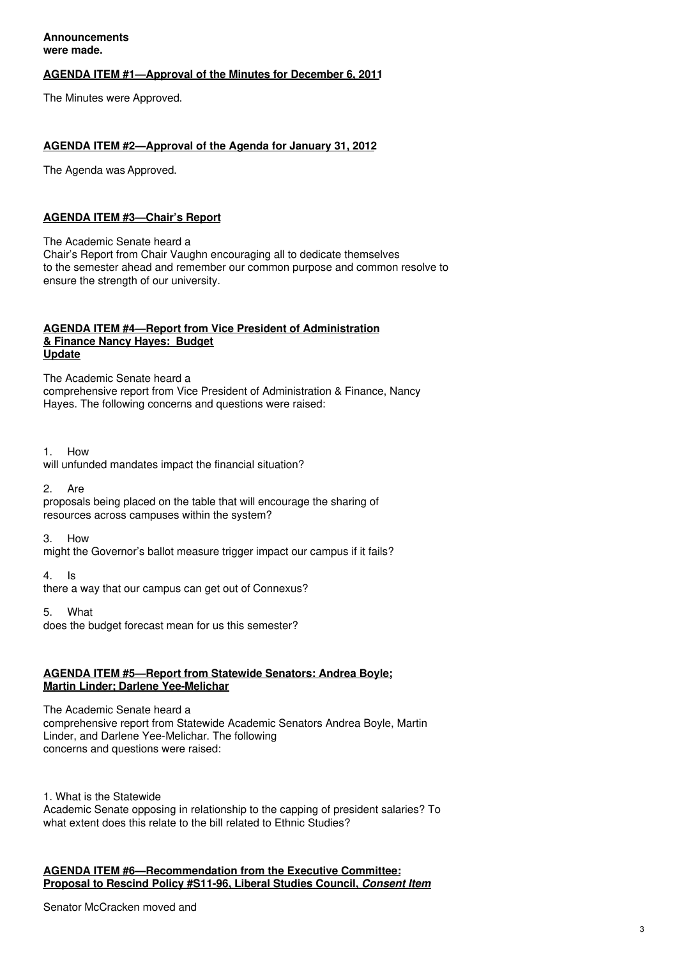**Announcements were made.**

#### **AGENDA ITEM #1—Approval of the Minutes for December 6, 2011**

The Minutes were Approved.

#### **AGENDA ITEM #2—Approval of the Agenda for January 31, 2012**

The Agenda was Approved.

#### **AGENDA ITEM #3—Chair's Report**

The Academic Senate heard a Chair's Report from Chair Vaughn encouraging all to dedicate themselves to the semester ahead and remember our common purpose and common resolve to ensure the strength of our university.

#### **AGENDA ITEM #4—Report from Vice President of Administration & Finance Nancy Hayes: Budget Update**

The Academic Senate heard a comprehensive report from Vice President of Administration & Finance, Nancy Hayes. The following concerns and questions were raised:

1. How will unfunded mandates impact the financial situation?

2. Are

proposals being placed on the table that will encourage the sharing of resources across campuses within the system?

3. How

might the Governor's ballot measure trigger impact our campus if it fails?

4. Is

there a way that our campus can get out of Connexus?

5. What

does the budget forecast mean for us this semester?

#### **AGENDA ITEM #5—Report from Statewide Senators: Andrea Boyle; Martin Linder; Darlene Yee-Melichar**

The Academic Senate heard a comprehensive report from Statewide Academic Senators Andrea Boyle, Martin Linder, and Darlene Yee-Melichar. The following concerns and questions were raised:

1. What is the Statewide Academic Senate opposing in relationship to the capping of president salaries? To what extent does this relate to the bill related to Ethnic Studies?

### **AGENDA ITEM #6—Recommendation from the Executive Committee: Proposal to Rescind Policy #S11-96, Liberal Studies Council,** *Consent Item*

Senator McCracken moved and